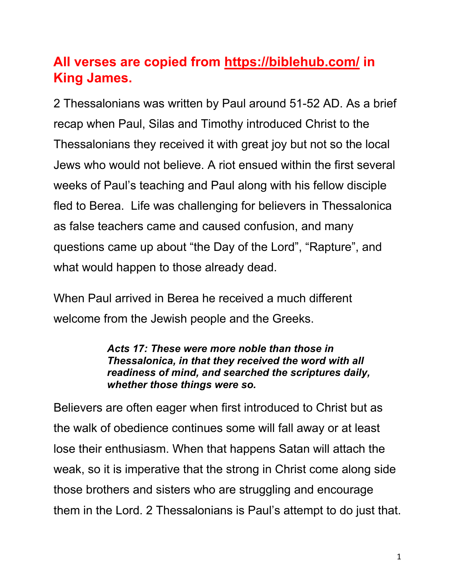# **All verses are copied from https://biblehub.com/ in King James.**

2 Thessalonians was written by Paul around 51-52 AD. As a brief recap when Paul, Silas and Timothy introduced Christ to the Thessalonians they received it with great joy but not so the local Jews who would not believe. A riot ensued within the first several weeks of Paul's teaching and Paul along with his fellow disciple fled to Berea. Life was challenging for believers in Thessalonica as false teachers came and caused confusion, and many questions came up about "the Day of the Lord", "Rapture", and what would happen to those already dead.

When Paul arrived in Berea he received a much different welcome from the Jewish people and the Greeks.

> *Acts 17: These were more noble than those in Thessalonica, in that they received the word with all readiness of mind, and searched the scriptures daily, whether those things were so.*

Believers are often eager when first introduced to Christ but as the walk of obedience continues some will fall away or at least lose their enthusiasm. When that happens Satan will attach the weak, so it is imperative that the strong in Christ come along side those brothers and sisters who are struggling and encourage them in the Lord. 2 Thessalonians is Paul's attempt to do just that.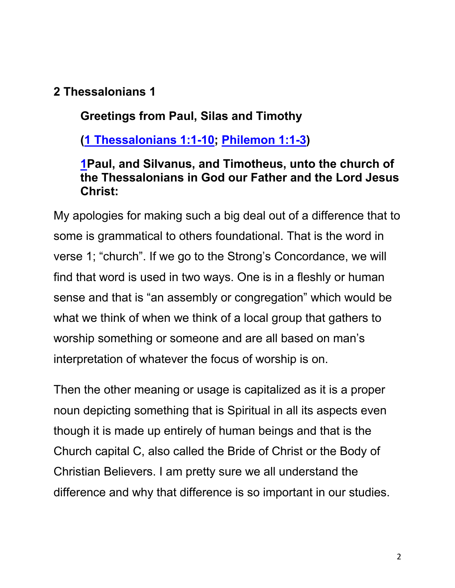# **2 Thessalonians 1**

# **Greetings from Paul, Silas and Timothy**

**(1 Thessalonians 1:1-10; Philemon 1:1-3)**

#### **1Paul, and Silvanus, and Timotheus, unto the church of the Thessalonians in God our Father and the Lord Jesus Christ:**

My apologies for making such a big deal out of a difference that to some is grammatical to others foundational. That is the word in verse 1; "church". If we go to the Strong's Concordance, we will find that word is used in two ways. One is in a fleshly or human sense and that is "an assembly or congregation" which would be what we think of when we think of a local group that gathers to worship something or someone and are all based on man's interpretation of whatever the focus of worship is on.

Then the other meaning or usage is capitalized as it is a proper noun depicting something that is Spiritual in all its aspects even though it is made up entirely of human beings and that is the Church capital C, also called the Bride of Christ or the Body of Christian Believers. I am pretty sure we all understand the difference and why that difference is so important in our studies.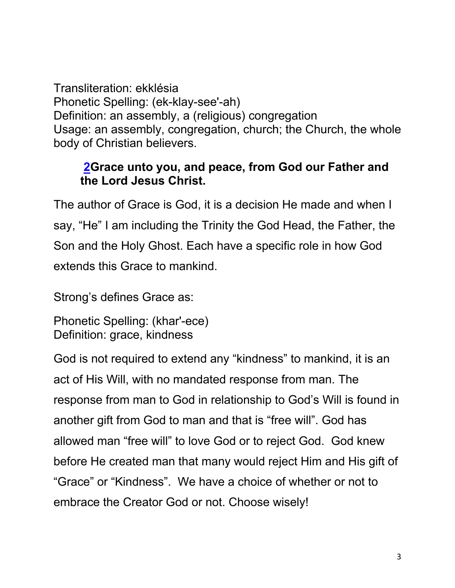Transliteration: ekklésia Phonetic Spelling: (ek-klay-see'-ah) Definition: an assembly, a (religious) congregation Usage: an assembly, congregation, church; the Church, the whole body of Christian believers.

# **2Grace unto you, and peace, from God our Father and the Lord Jesus Christ.**

The author of Grace is God, it is a decision He made and when I say, "He" I am including the Trinity the God Head, the Father, the Son and the Holy Ghost. Each have a specific role in how God extends this Grace to mankind.

Strong's defines Grace as:

```
Phonetic Spelling: (khar'-ece)
Definition: grace, kindness
```
God is not required to extend any "kindness" to mankind, it is an act of His Will, with no mandated response from man. The response from man to God in relationship to God's Will is found in another gift from God to man and that is "free will". God has allowed man "free will" to love God or to reject God. God knew before He created man that many would reject Him and His gift of "Grace" or "Kindness". We have a choice of whether or not to embrace the Creator God or not. Choose wisely!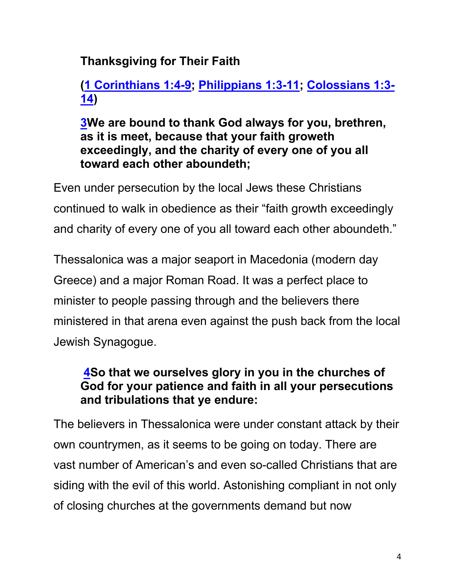# **Thanksgiving for Their Faith**

# **(1 Corinthians 1:4-9; Philippians 1:3-11; Colossians 1:3- 14)**

#### **3We are bound to thank God always for you, brethren, as it is meet, because that your faith groweth exceedingly, and the charity of every one of you all toward each other aboundeth;**

Even under persecution by the local Jews these Christians continued to walk in obedience as their "faith growth exceedingly and charity of every one of you all toward each other aboundeth."

Thessalonica was a major seaport in Macedonia (modern day Greece) and a major Roman Road. It was a perfect place to minister to people passing through and the believers there ministered in that arena even against the push back from the local Jewish Synagogue.

# **4So that we ourselves glory in you in the churches of God for your patience and faith in all your persecutions and tribulations that ye endure:**

The believers in Thessalonica were under constant attack by their own countrymen, as it seems to be going on today. There are vast number of American's and even so-called Christians that are siding with the evil of this world. Astonishing compliant in not only of closing churches at the governments demand but now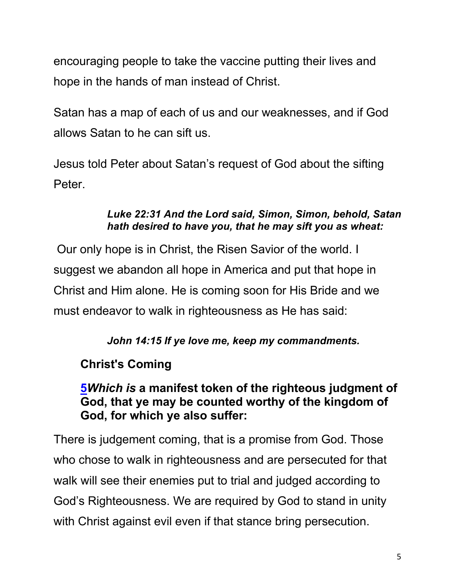encouraging people to take the vaccine putting their lives and hope in the hands of man instead of Christ.

Satan has a map of each of us and our weaknesses, and if God allows Satan to he can sift us.

Jesus told Peter about Satan's request of God about the sifting Peter.

#### *Luke 22:31 And the Lord said, Simon, Simon, behold, Satan hath desired to have you, that he may sift you as wheat:*

Our only hope is in Christ, the Risen Savior of the world. I suggest we abandon all hope in America and put that hope in Christ and Him alone. He is coming soon for His Bride and we must endeavor to walk in righteousness as He has said:

#### *John 14:15 If ye love me, keep my commandments.*

# **Christ's Coming**

#### **5***Which is* **a manifest token of the righteous judgment of God, that ye may be counted worthy of the kingdom of God, for which ye also suffer:**

There is judgement coming, that is a promise from God. Those who chose to walk in righteousness and are persecuted for that walk will see their enemies put to trial and judged according to God's Righteousness. We are required by God to stand in unity with Christ against evil even if that stance bring persecution.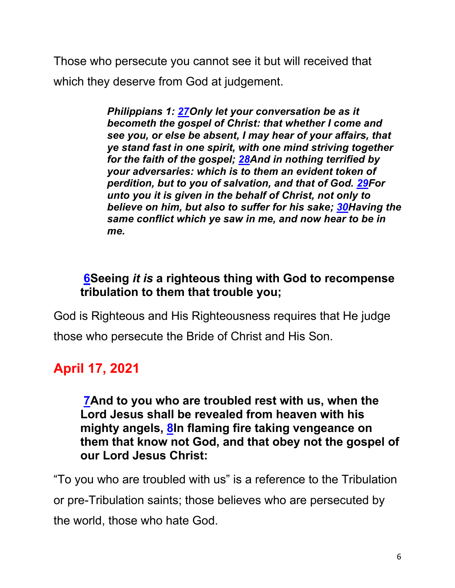Those who persecute you cannot see it but will received that which they deserve from God at judgement.

> *Philippians 1: 27Only let your conversation be as it becometh the gospel of Christ: that whether I come and see you, or else be absent, I may hear of your affairs, that ye stand fast in one spirit, with one mind striving together for the faith of the gospel; 28And in nothing terrified by your adversaries: which is to them an evident token of perdition, but to you of salvation, and that of God. 29For unto you it is given in the behalf of Christ, not only to believe on him, but also to suffer for his sake; 30Having the same conflict which ye saw in me, and now hear to be in me.*

# **6Seeing** *it is* **a righteous thing with God to recompense tribulation to them that trouble you;**

God is Righteous and His Righteousness requires that He judge those who persecute the Bride of Christ and His Son.

# **April 17, 2021**

**7And to you who are troubled rest with us, when the Lord Jesus shall be revealed from heaven with his mighty angels, 8In flaming fire taking vengeance on them that know not God, and that obey not the gospel of our Lord Jesus Christ:**

"To you who are troubled with us" is a reference to the Tribulation or pre-Tribulation saints; those believes who are persecuted by the world, those who hate God.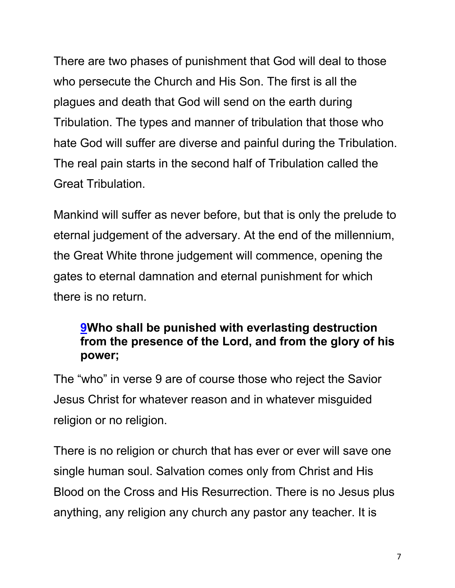There are two phases of punishment that God will deal to those who persecute the Church and His Son. The first is all the plagues and death that God will send on the earth during Tribulation. The types and manner of tribulation that those who hate God will suffer are diverse and painful during the Tribulation. The real pain starts in the second half of Tribulation called the Great Tribulation.

Mankind will suffer as never before, but that is only the prelude to eternal judgement of the adversary. At the end of the millennium, the Great White throne judgement will commence, opening the gates to eternal damnation and eternal punishment for which there is no return.

# **9Who shall be punished with everlasting destruction from the presence of the Lord, and from the glory of his power;**

The "who" in verse 9 are of course those who reject the Savior Jesus Christ for whatever reason and in whatever misguided religion or no religion.

There is no religion or church that has ever or ever will save one single human soul. Salvation comes only from Christ and His Blood on the Cross and His Resurrection. There is no Jesus plus anything, any religion any church any pastor any teacher. It is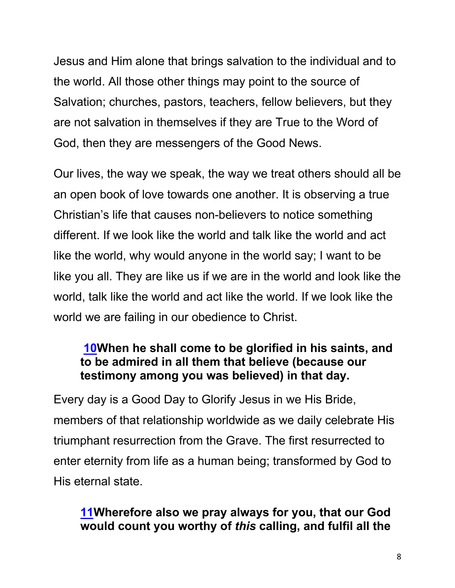Jesus and Him alone that brings salvation to the individual and to the world. All those other things may point to the source of Salvation; churches, pastors, teachers, fellow believers, but they are not salvation in themselves if they are True to the Word of God, then they are messengers of the Good News.

Our lives, the way we speak, the way we treat others should all be an open book of love towards one another. It is observing a true Christian's life that causes non-believers to notice something different. If we look like the world and talk like the world and act like the world, why would anyone in the world say; I want to be like you all. They are like us if we are in the world and look like the world, talk like the world and act like the world. If we look like the world we are failing in our obedience to Christ.

#### **10When he shall come to be glorified in his saints, and to be admired in all them that believe (because our testimony among you was believed) in that day.**

Every day is a Good Day to Glorify Jesus in we His Bride, members of that relationship worldwide as we daily celebrate His triumphant resurrection from the Grave. The first resurrected to enter eternity from life as a human being; transformed by God to His eternal state.

# **11Wherefore also we pray always for you, that our God would count you worthy of** *this* **calling, and fulfil all the**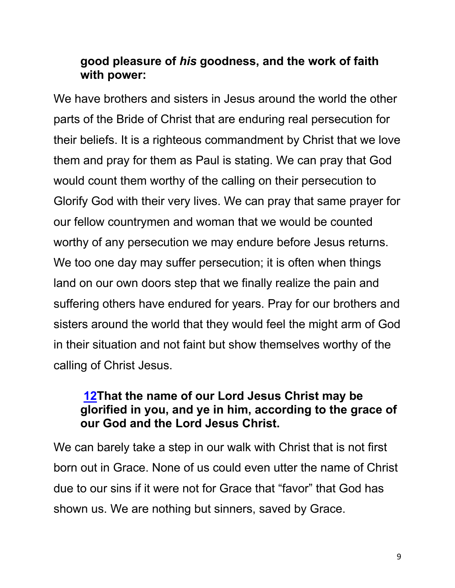#### **good pleasure of** *his* **goodness, and the work of faith with power:**

We have brothers and sisters in Jesus around the world the other parts of the Bride of Christ that are enduring real persecution for their beliefs. It is a righteous commandment by Christ that we love them and pray for them as Paul is stating. We can pray that God would count them worthy of the calling on their persecution to Glorify God with their very lives. We can pray that same prayer for our fellow countrymen and woman that we would be counted worthy of any persecution we may endure before Jesus returns. We too one day may suffer persecution; it is often when things land on our own doors step that we finally realize the pain and suffering others have endured for years. Pray for our brothers and sisters around the world that they would feel the might arm of God in their situation and not faint but show themselves worthy of the calling of Christ Jesus.

#### **12That the name of our Lord Jesus Christ may be glorified in you, and ye in him, according to the grace of our God and the Lord Jesus Christ.**

We can barely take a step in our walk with Christ that is not first born out in Grace. None of us could even utter the name of Christ due to our sins if it were not for Grace that "favor" that God has shown us. We are nothing but sinners, saved by Grace.